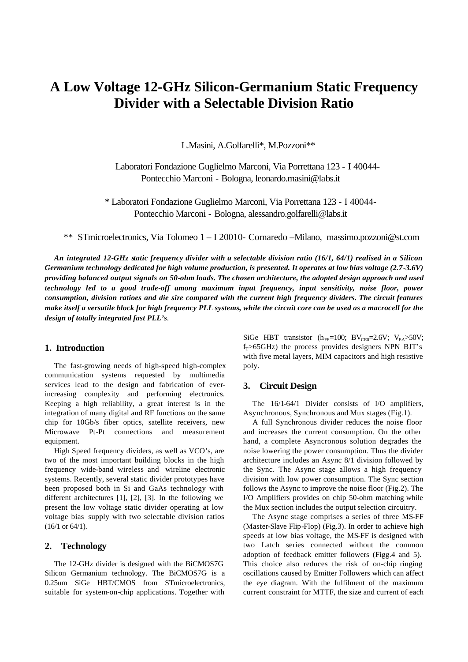# **A Low Voltage 12-GHz Silicon-Germanium Static Frequency Divider with a Selectable Division Ratio**

L.Masini, A.Golfarelli\*, M.Pozzoni\*\*

Laboratori Fondazione Guglielmo Marconi, Via Porrettana 123 - I 40044- Pontecchio Marconi - Bologna, leonardo.masini@labs.it

\* Laboratori Fondazione Guglielmo Marconi, Via Porrettana 123 - I 40044- Pontecchio Marconi - Bologna, alessandro.golfarelli@labs.it

\*\* STmicroelectronics, Via Tolomeo 1 – I 20010- Cornaredo –Milano, massimo.pozzoni@st.com

*An integrated 12-GHz static frequency divider with a selectable division ratio (16/1, 64/1) realised in a Silicon Germanium technology dedicated for high volume production, is presented. It operates at low bias voltage (2.7-3.6V) providing balanced output signals on 50-ohm loads. The chosen architecture, the adopted design approach and used technology led to a good trade-off among maximum input frequency, input sensitivity, noise floor, power consumption, division ratioes and die size compared with the current high frequency dividers. The circuit features make itself a versatile block for high frequency PLL systems, while the circuit core can be used as a macrocell for the design of totally integrated fast PLL's.*

### **1. Introduction**

The fast-growing needs of high-speed high-complex communication systems requested by multimedia services lead to the design and fabrication of everincreasing complexity and performing electronics. Keeping a high reliability, a great interest is in the integration of many digital and RF functions on the same chip for 10Gb/s fiber optics, satellite receivers, new Microwave Pt-Pt connections and measurement equipment.

High Speed frequency dividers, as well as VCO's, are two of the most important building blocks in the high frequency wide-band wireless and wireline electronic systems. Recently, several static divider prototypes have been proposed both in Si and GaAs technology with different architectures [1], [2], [3]. In the following we present the low voltage static divider operating at low voltage bias supply with two selectable division ratios (16/1 or 64/1).

#### **2. Technology**

The 12-GHz divider is designed with the BiCMOS7G Silicon Germanium technology. The BiCMOS7G is a 0.25um SiGe HBT/CMOS from STmicroelectronics, suitable for system-on-chip applications. Together with

SiGe HBT transistor ( $h_{FE}=100$ ; BV<sub>CE0</sub>=2.6V; V<sub>EA</sub>>50V;  $f_T > 65$ GHz) the process provides designers NPN BJT's with five metal layers, MIM capacitors and high resistive poly.

#### **3. Circuit Design**

The 16/1-64/1 Divider consists of I/O amplifiers, Asynchronous, Synchronous and Mux stages (Fig.1).

A full Synchronous divider reduces the noise floor and increases the current consumption. On the other hand, a complete Asyncronous solution degrades the noise lowering the power consumption. Thus the divider architecture includes an Async 8/1 division followed by the Sync. The Async stage allows a high frequency division with low power consumption. The Sync section follows the Async to improve the noise floor (Fig.2). The I/O Amplifiers provides on chip 50-ohm matching while the Mux section includes the output selection circuitry.

The Async stage comprises a series of three MS-FF (Master-Slave Flip-Flop) (Fig.3). In order to achieve high speeds at low bias voltage, the MS-FF is designed with two Latch series connected without the common adoption of feedback emitter followers (Figg.4 and 5). This choice also reduces the risk of on-chip ringing oscillations caused by Emitter Followers which can affect the eye diagram. With the fulfilment of the maximum current constraint for MTTF, the size and current of each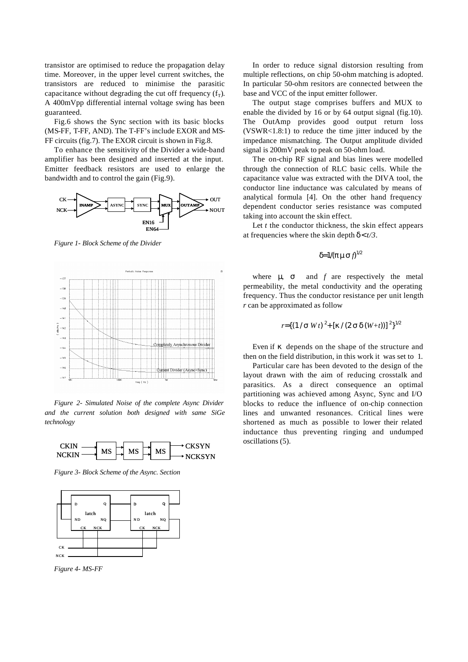transistor are optimised to reduce the propagation delay time. Moreover, in the upper level current switches, the transistors are reduced to minimise the parasitic capacitance without degrading the cut off frequency  $(f_T)$ . A 400mVpp differential internal voltage swing has been guaranteed.

Fig.6 shows the Sync section with its basic blocks (MS-FF, T-FF, AND). The T-FF's include EXOR and MS-FF circuits (fig.7). The EXOR circuit is shown in Fig.8.

To enhance the sensitivity of the Divider a wide-band amplifier has been designed and inserted at the input. Emitter feedback resistors are used to enlarge the bandwidth and to control the gain (Fig.9).



*Figure 1- Block Scheme of the Divider*



*Figure 2- Simulated Noise of the complete Async Divider and the current solution both designed with same SiGe technology*



*Figure 3- Block Scheme of the Async. Section*



*Figure 4- MS-FF*

In order to reduce signal distorsion resulting from multiple reflections, on chip 50-ohm matching is adopted. In particular 50-ohm resitors are connected between the base and VCC of the input emitter follower.

The output stage comprises buffers and MUX to enable the divided by 16 or by 64 output signal (fig.10). The OutAmp provides good output return loss (VSWR<1.8:1) to reduce the time jitter induced by the impedance mismatching. The Output amplitude divided signal is 200mV peak to peak on 50-ohm load.

The on-chip RF signal and bias lines were modelled through the connection of RLC basic cells. While the capacitance value was extracted with the DIVA tool, the conductor line inductance was calculated by means of analytical formula [4]. On the other hand frequency dependent conductor series resistance was computed taking into account the skin effect.

Let *t* the conductor thickness, the skin effect appears at frequencies where the skin depth  $\mathbf{d} \lt t/3$ .

### *d=1/(p ms*  $f^{1/2}$

where  $\mathbf{m}$  *s* and  $f$  are respectively the metal permeability, the metal conductivity and the operating frequency. Thus the conductor resistance per unit length *r* can be approximated as follow

$$
r = \{ (1/s W t)^2 + [k/(2 s d (W+t))]^2 \}^{1/2}
$$

Even if *k* depends on the shape of the structure and then on the field distribution, in this work it was set to 1.

Particular care has been devoted to the design of the layout drawn with the aim of reducing crosstalk and parasitics. As a direct consequence an optimal partitioning was achieved among Async, Sync and I/O blocks to reduce the influence of on-chip connection lines and unwanted resonances. Critical lines were shortened as much as possible to lower their related inductance thus preventing ringing and undumped oscillations (5).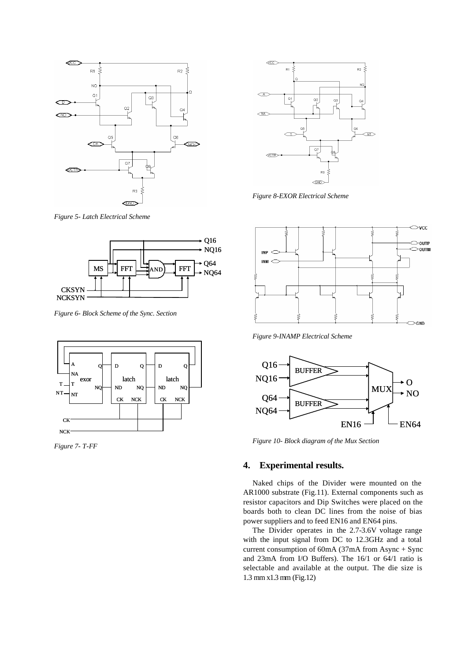

*Figure 5- Latch Electrical Scheme*



*Figure 6- Block Scheme of the Sync. Section*



*Figure 7- T-FF*



*Figure 8-EXOR Electrical Scheme*



*Figure 9-INAMP Electrical Scheme*



*Figure 10- Block diagram of the Mux Section*

## **4. Experimental results.**

Naked chips of the Divider were mounted on the AR1000 substrate (Fig.11). External components such as resistor capacitors and Dip Switches were placed on the boards both to clean DC lines from the noise of bias power suppliers and to feed EN16 and EN64 pins.

The Divider operates in the 2.7-3.6V voltage range with the input signal from DC to 12.3GHz and a total current consumption of 60mA (37mA from Async + Sync and 23mA from I/O Buffers). The 16/1 or 64/1 ratio is selectable and available at the output. The die size is 1.3 mm x1.3 mm (Fig.12)